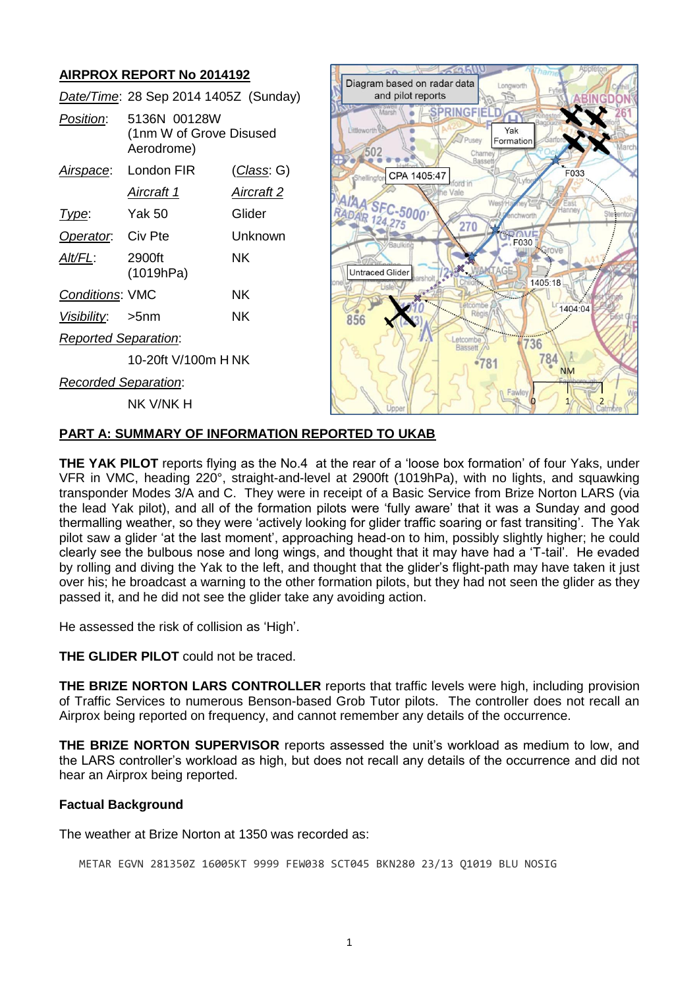# **AIRPROX REPORT No 2014192**

|                             | Date/Time: 28 Sep 2014 1405Z (Sunday)                 |                    |
|-----------------------------|-------------------------------------------------------|--------------------|
| Position:                   | 5136N 00128W<br>(1nm W of Grove Disused<br>Aerodrome) |                    |
|                             | Airspace: London FIR                                  | <u>(Class</u> : G) |
|                             | Aircraft 1                                            | Aircraft 2         |
| Type:                       | Yak 50                                                | Glider             |
| Operator. Civ Pte           |                                                       | Unknown            |
| Alt/FL:                     | 2900ft<br>(1019hPa)                                   | ΝK                 |
| <b>Conditions: VMC</b>      |                                                       | ΝK                 |
| Visibility: >5nm            |                                                       | ΝK                 |
| <b>Reported Separation:</b> |                                                       |                    |
|                             | 10-20ft V/100m H NK                                   |                    |
| <b>Recorded Separation:</b> |                                                       |                    |
|                             | nk v/nk h                                             |                    |



## **PART A: SUMMARY OF INFORMATION REPORTED TO UKAB**

**THE YAK PILOT** reports flying as the No.4 at the rear of a 'loose box formation' of four Yaks, under VFR in VMC, heading 220°, straight-and-level at 2900ft (1019hPa), with no lights, and squawking transponder Modes 3/A and C. They were in receipt of a Basic Service from Brize Norton LARS (via the lead Yak pilot), and all of the formation pilots were 'fully aware' that it was a Sunday and good thermalling weather, so they were 'actively looking for glider traffic soaring or fast transiting'. The Yak pilot saw a glider 'at the last moment', approaching head-on to him, possibly slightly higher; he could clearly see the bulbous nose and long wings, and thought that it may have had a 'T-tail'. He evaded by rolling and diving the Yak to the left, and thought that the glider's flight-path may have taken it just over his; he broadcast a warning to the other formation pilots, but they had not seen the glider as they passed it, and he did not see the glider take any avoiding action.

He assessed the risk of collision as 'High'.

**THE GLIDER PILOT** could not be traced.

**THE BRIZE NORTON LARS CONTROLLER** reports that traffic levels were high, including provision of Traffic Services to numerous Benson-based Grob Tutor pilots. The controller does not recall an Airprox being reported on frequency, and cannot remember any details of the occurrence.

**THE BRIZE NORTON SUPERVISOR** reports assessed the unit's workload as medium to low, and the LARS controller's workload as high, but does not recall any details of the occurrence and did not hear an Airprox being reported.

## **Factual Background**

The weather at Brize Norton at 1350 was recorded as:

METAR EGVN 281350Z 16005KT 9999 FEW038 SCT045 BKN280 23/13 Q1019 BLU NOSIG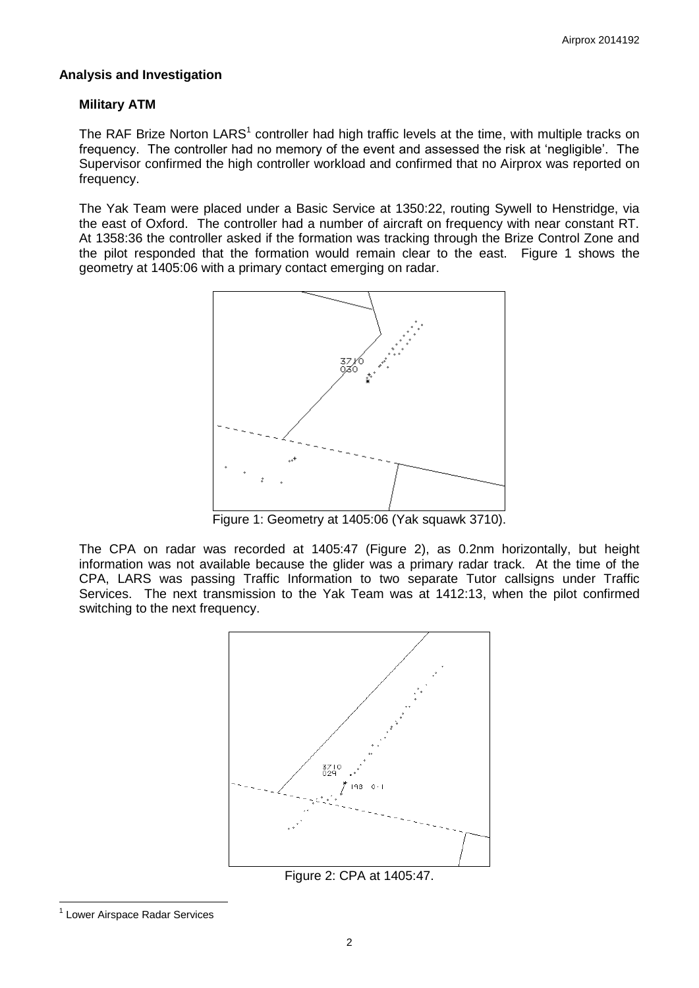### **Analysis and Investigation**

### **Military ATM**

The RAF Brize Norton LARS<sup>1</sup> controller had high traffic levels at the time, with multiple tracks on frequency. The controller had no memory of the event and assessed the risk at 'negligible'. The Supervisor confirmed the high controller workload and confirmed that no Airprox was reported on frequency.

The Yak Team were placed under a Basic Service at 1350:22, routing Sywell to Henstridge, via the east of Oxford. The controller had a number of aircraft on frequency with near constant RT. At 1358:36 the controller asked if the formation was tracking through the Brize Control Zone and the pilot responded that the formation would remain clear to the east. Figure 1 shows the geometry at 1405:06 with a primary contact emerging on radar.



Figure 1: Geometry at 1405:06 (Yak squawk 3710).

The CPA on radar was recorded at 1405:47 (Figure 2), as 0.2nm horizontally, but height information was not available because the glider was a primary radar track. At the time of the CPA, LARS was passing Traffic Information to two separate Tutor callsigns under Traffic Services. The next transmission to the Yak Team was at 1412:13, when the pilot confirmed switching to the next frequency.



Figure 2: CPA at 1405:47.

 $\overline{a}$ <sup>1</sup> Lower Airspace Radar Services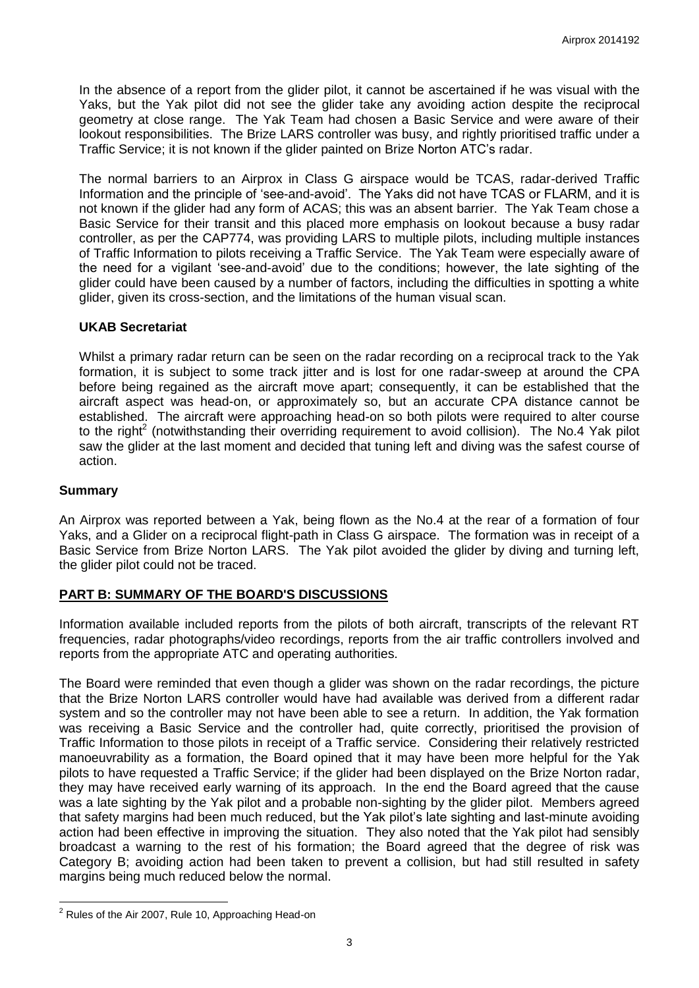In the absence of a report from the glider pilot, it cannot be ascertained if he was visual with the Yaks, but the Yak pilot did not see the glider take any avoiding action despite the reciprocal geometry at close range. The Yak Team had chosen a Basic Service and were aware of their lookout responsibilities. The Brize LARS controller was busy, and rightly prioritised traffic under a Traffic Service; it is not known if the glider painted on Brize Norton ATC's radar.

The normal barriers to an Airprox in Class G airspace would be TCAS, radar-derived Traffic Information and the principle of 'see-and-avoid'. The Yaks did not have TCAS or FLARM, and it is not known if the glider had any form of ACAS; this was an absent barrier. The Yak Team chose a Basic Service for their transit and this placed more emphasis on lookout because a busy radar controller, as per the CAP774, was providing LARS to multiple pilots, including multiple instances of Traffic Information to pilots receiving a Traffic Service. The Yak Team were especially aware of the need for a vigilant 'see-and-avoid' due to the conditions; however, the late sighting of the glider could have been caused by a number of factors, including the difficulties in spotting a white glider, given its cross-section, and the limitations of the human visual scan.

#### **UKAB Secretariat**

Whilst a primary radar return can be seen on the radar recording on a reciprocal track to the Yak formation, it is subject to some track jitter and is lost for one radar-sweep at around the CPA before being regained as the aircraft move apart; consequently, it can be established that the aircraft aspect was head-on, or approximately so, but an accurate CPA distance cannot be established. The aircraft were approaching head-on so both pilots were required to alter course to the right<sup>2</sup> (notwithstanding their overriding requirement to avoid collision). The No.4 Yak pilot saw the glider at the last moment and decided that tuning left and diving was the safest course of action.

#### **Summary**

 $\overline{a}$ 

An Airprox was reported between a Yak, being flown as the No.4 at the rear of a formation of four Yaks, and a Glider on a reciprocal flight-path in Class G airspace. The formation was in receipt of a Basic Service from Brize Norton LARS. The Yak pilot avoided the glider by diving and turning left, the glider pilot could not be traced.

## **PART B: SUMMARY OF THE BOARD'S DISCUSSIONS**

Information available included reports from the pilots of both aircraft, transcripts of the relevant RT frequencies, radar photographs/video recordings, reports from the air traffic controllers involved and reports from the appropriate ATC and operating authorities.

The Board were reminded that even though a glider was shown on the radar recordings, the picture that the Brize Norton LARS controller would have had available was derived from a different radar system and so the controller may not have been able to see a return. In addition, the Yak formation was receiving a Basic Service and the controller had, quite correctly, prioritised the provision of Traffic Information to those pilots in receipt of a Traffic service. Considering their relatively restricted manoeuvrability as a formation, the Board opined that it may have been more helpful for the Yak pilots to have requested a Traffic Service; if the glider had been displayed on the Brize Norton radar, they may have received early warning of its approach. In the end the Board agreed that the cause was a late sighting by the Yak pilot and a probable non-sighting by the glider pilot. Members agreed that safety margins had been much reduced, but the Yak pilot's late sighting and last-minute avoiding action had been effective in improving the situation. They also noted that the Yak pilot had sensibly broadcast a warning to the rest of his formation; the Board agreed that the degree of risk was Category B; avoiding action had been taken to prevent a collision, but had still resulted in safety margins being much reduced below the normal.

 $2$  Rules of the Air 2007, Rule 10, Approaching Head-on